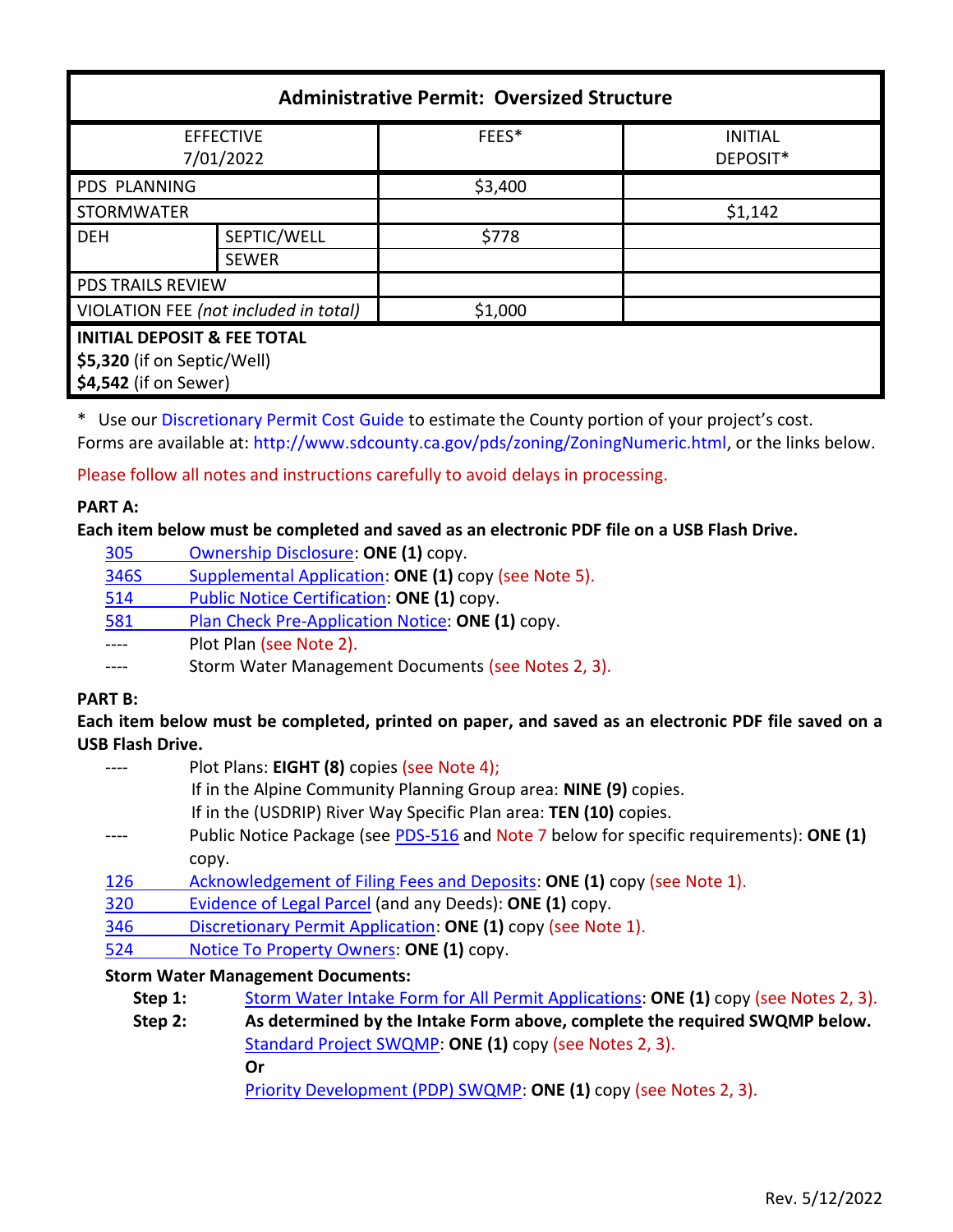| <b>Administrative Permit: Oversized Structure</b> |              |         |                            |  |
|---------------------------------------------------|--------------|---------|----------------------------|--|
| <b>EFFECTIVE</b><br>7/01/2022                     |              | FEES*   | <b>INITIAL</b><br>DEPOSIT* |  |
| <b>PDS PLANNING</b>                               |              | \$3,400 |                            |  |
| <b>STORMWATER</b>                                 |              |         | \$1,142                    |  |
| <b>DEH</b>                                        | SEPTIC/WELL  | \$778   |                            |  |
|                                                   | <b>SEWER</b> |         |                            |  |
| <b>PDS TRAILS REVIEW</b>                          |              |         |                            |  |
| VIOLATION FEE (not included in total)             |              | \$1,000 |                            |  |
| <b>INITIAL DEPOSIT &amp; FEE TOTAL</b>            |              |         |                            |  |
| \$5,320 (if on Septic/Well)                       |              |         |                            |  |
| \$4,542 (if on Sewer)                             |              |         |                            |  |

\* Use ou[r Discretionary Permit Cost Guide](http://www.sandiegocounty.gov/content/dam/sdc/pds/docs/Discretionary_Permit_Cost_Guide.xlsx) to estimate the County portion of your project's cost. Forms are available at: [http://www.sdcounty.ca.gov/pds/zoning/ZoningNumeric.html,](http://www.sdcounty.ca.gov/pds/zoning/ZoningNumeric.html) or the links below.

Please follow all notes and instructions carefully to avoid delays in processing.

# **PART A:**

### **Each item below must be completed and saved as an electronic PDF file on a USB Flash Drive.**

| 305  | Ownership Disclosure: ONE (1) copy.                  |
|------|------------------------------------------------------|
| 346S | Supplemental Application: ONE (1) copy (see Note 5). |
| 514  | Public Notice Certification: ONE (1) copy.           |
| 581  | Plan Check Pre-Application Notice: ONE (1) copy.     |
|      | Plot Plan (see Note 2).                              |
|      | Storm Water Management Documents (see Notes 2, 3).   |

### **PART B:**

**Each item below must be completed, printed on paper, and saved as an electronic PDF file saved on a USB Flash Drive.**

- ---- Plot Plans: **EIGHT (8)** copies (see Note 4);
	- If in the Alpine Community Planning Group area: **NINE (9)** copies.
	- If in the (USDRIP) River Way Specific Plan area: **TEN (10)** copies.
- ---- Public Notice Package (see [PDS-516](https://www.sandiegocounty.gov/pds/zoning/formfields/PDS-PLN-516.pdf) and Note 7 below for specific requirements): **ONE (1)** copy.
- [126 Acknowledgement of Filing Fees and Deposits:](http://www.sdcounty.ca.gov/pds/zoning/formfields/PDS-PLN-126.pdf) **ONE (1)** copy (see Note 1).
- [320 Evidence of Legal Parcel](http://www.sdcounty.ca.gov/pds/zoning/formfields/PDS-PLN-320.pdf) (and any Deeds): **ONE (1)** copy.
- 346 [Discretionary Permit Application:](http://www.sdcounty.ca.gov/pds/zoning/formfields/PDS-PLN-346.pdf) **ONE (1)** copy (see Note 1).
- 524 [Notice To Property Owners:](http://www.sdcounty.ca.gov/pds/zoning/formfields/PDS-PLN-524.pdf) **ONE (1)** copy.

### **Storm Water Management Documents:**

- **Step 1:** [Storm Water Intake Form for All Permit Applications:](http://www.sandiegocounty.gov/content/dam/sdc/pds/zoning/formfields/SWQMP-Intake-Form.pdf) **ONE (1)** copy (see Notes 2, 3).
- **Step 2: As determined by the Intake Form above, complete the required SWQMP below.** [Standard Project SWQMP:](http://www.sandiegocounty.gov/content/dam/sdc/pds/zoning/formfields/SWQMP-Standard.pdf) **ONE (1)** copy (see Notes 2, 3). **Or**

[Priority Development \(PDP\) SWQMP:](http://www.sandiegocounty.gov/content/dam/sdc/pds/zoning/formfields/SWQMP-PDP.pdf) **ONE (1)** copy (see Notes 2, 3).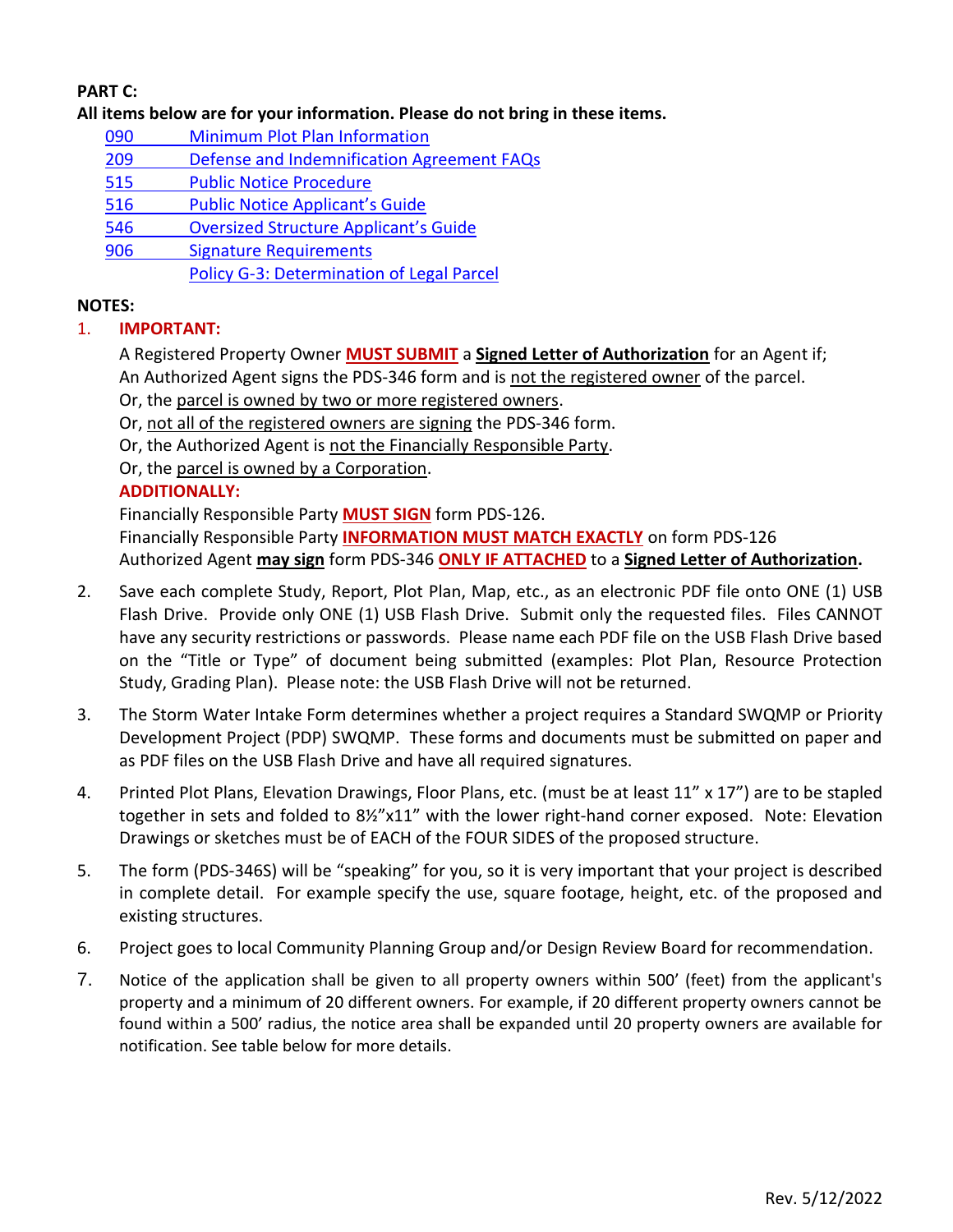# **PART C:**

**All items below are for your information. Please do not bring in these items.**

- 090 [Minimum Plot Plan Information](http://www.sdcounty.ca.gov/pds/docs/pds090.pdf)
- 209 [Defense and Indemnification Agreement FAQs](http://www.sdcounty.ca.gov/pds/zoning/formfields/PDS-PLN-209.pdf)
- [515 Public Notice Procedure](http://www.sdcounty.ca.gov/pds/zoning/formfields/PDS-PLN-515.pdf)
- 516 [Public Notice Applicant's Guide](http://www.sdcounty.ca.gov/pds/zoning/formfields/PDS-PLN-516.pdf)
- 546 Oversized Structur[e Applicant's Guide](http://www.sdcounty.ca.gov/pds/zoning/formfields/PDS-PLN-546.pdf)
- [906 Signature Requirements](http://www.sdcounty.ca.gov/pds/zoning/formfields/PDS-PLN-906.pdf)

[Policy G-3: Determination of Legal Parcel](http://www.sdcounty.ca.gov/pds/zoning/formfields/POLICY-G-3.pdf)

### **NOTES:**

# 1. **IMPORTANT:**

A Registered Property Owner **MUST SUBMIT** a **Signed Letter of Authorization** for an Agent if; An Authorized Agent signs the PDS-346 form and is not the registered owner of the parcel.

Or, the parcel is owned by two or more registered owners.

Or, not all of the registered owners are signing the PDS-346 form.

Or, the Authorized Agent is not the Financially Responsible Party.

Or, the parcel is owned by a Corporation.

# **ADDITIONALLY:**

Financially Responsible Party **MUST SIGN** form PDS-126. Financially Responsible Party **INFORMATION MUST MATCH EXACTLY** on form PDS-126 Authorized Agent **may sign** form PDS-346 **ONLY IF ATTACHED** to a **Signed Letter of Authorization.**

- 2. Save each complete Study, Report, Plot Plan, Map, etc., as an electronic PDF file onto ONE (1) USB Flash Drive. Provide only ONE (1) USB Flash Drive. Submit only the requested files. Files CANNOT have any security restrictions or passwords. Please name each PDF file on the USB Flash Drive based on the "Title or Type" of document being submitted (examples: Plot Plan, Resource Protection Study, Grading Plan). Please note: the USB Flash Drive will not be returned.
- 3. The Storm Water Intake Form determines whether a project requires a Standard SWQMP or Priority Development Project (PDP) SWQMP. These forms and documents must be submitted on paper and as PDF files on the USB Flash Drive and have all required signatures.
- 4. Printed Plot Plans, Elevation Drawings, Floor Plans, etc. (must be at least 11" x 17") are to be stapled together in sets and folded to 8½"x11" with the lower right-hand corner exposed. Note: Elevation Drawings or sketches must be of EACH of the FOUR SIDES of the proposed structure.
- 5. The form (PDS-346S) will be "speaking" for you, so it is very important that your project is described in complete detail. For example specify the use, square footage, height, etc. of the proposed and existing structures.
- 6. Project goes to local Community Planning Group and/or Design Review Board for recommendation.
- 7. Notice of the application shall be given to all property owners within 500' (feet) from the applicant's property and a minimum of 20 different owners. For example, if 20 different property owners cannot be found within a 500' radius, the notice area shall be expanded until 20 property owners are available for notification. See table below for more details.